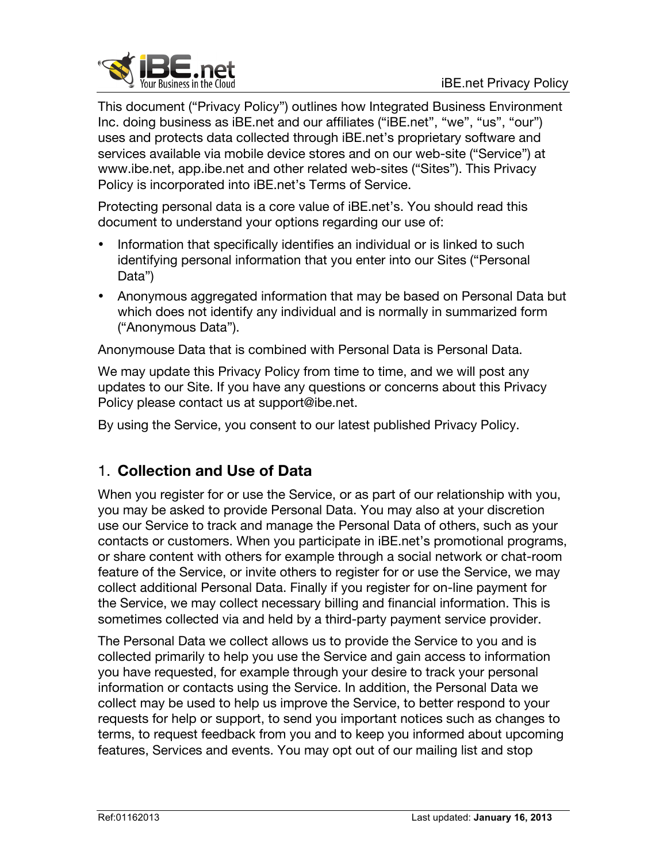

This document ("Privacy Policy") outlines how Integrated Business Environment Inc. doing business as iBE.net and our affiliates ("iBE.net", "we", "us", "our") uses and protects data collected through iBE.net's proprietary software and services available via mobile device stores and on our web-site ("Service") at www.ibe.net, app.ibe.net and other related web-sites ("Sites"). This Privacy Policy is incorporated into iBE.net's Terms of Service.

Protecting personal data is a core value of iBE.net's. You should read this document to understand your options regarding our use of:

- Information that specifically identifies an individual or is linked to such identifying personal information that you enter into our Sites ("Personal Data")
- Anonymous aggregated information that may be based on Personal Data but which does not identify any individual and is normally in summarized form ("Anonymous Data").

Anonymouse Data that is combined with Personal Data is Personal Data.

We may update this Privacy Policy from time to time, and we will post any updates to our Site. If you have any questions or concerns about this Privacy Policy please contact us at support@ibe.net.

By using the Service, you consent to our latest published Privacy Policy.

## 1. **Collection and Use of Data**

When you register for or use the Service, or as part of our relationship with you, you may be asked to provide Personal Data. You may also at your discretion use our Service to track and manage the Personal Data of others, such as your contacts or customers. When you participate in iBE.net's promotional programs, or share content with others for example through a social network or chat-room feature of the Service, or invite others to register for or use the Service, we may collect additional Personal Data. Finally if you register for on-line payment for the Service, we may collect necessary billing and financial information. This is sometimes collected via and held by a third-party payment service provider.

The Personal Data we collect allows us to provide the Service to you and is collected primarily to help you use the Service and gain access to information you have requested, for example through your desire to track your personal information or contacts using the Service. In addition, the Personal Data we collect may be used to help us improve the Service, to better respond to your requests for help or support, to send you important notices such as changes to terms, to request feedback from you and to keep you informed about upcoming features, Services and events. You may opt out of our mailing list and stop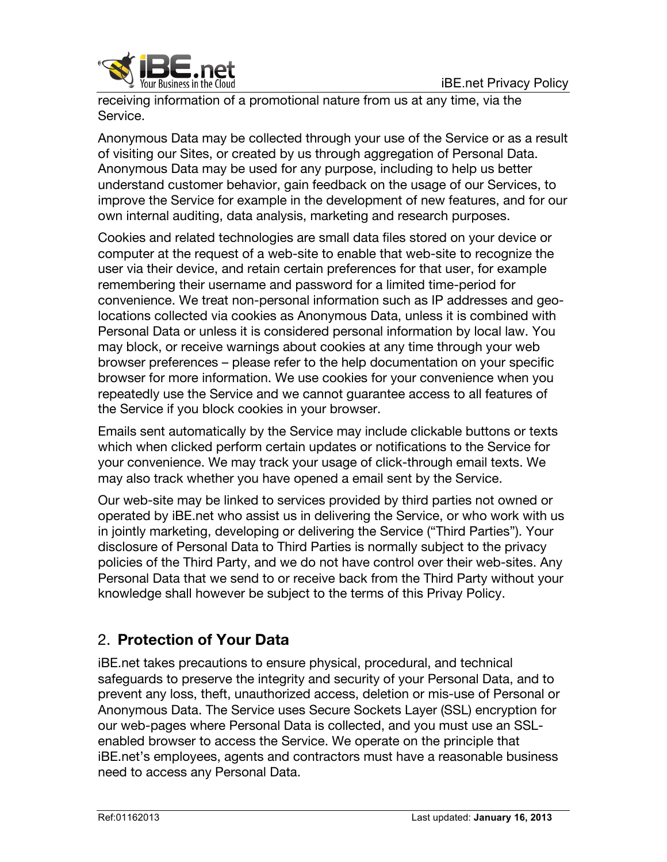

receiving information of a promotional nature from us at any time, via the Service.

Anonymous Data may be collected through your use of the Service or as a result of visiting our Sites, or created by us through aggregation of Personal Data. Anonymous Data may be used for any purpose, including to help us better understand customer behavior, gain feedback on the usage of our Services, to improve the Service for example in the development of new features, and for our own internal auditing, data analysis, marketing and research purposes.

Cookies and related technologies are small data files stored on your device or computer at the request of a web-site to enable that web-site to recognize the user via their device, and retain certain preferences for that user, for example remembering their username and password for a limited time-period for convenience. We treat non-personal information such as IP addresses and geolocations collected via cookies as Anonymous Data, unless it is combined with Personal Data or unless it is considered personal information by local law. You may block, or receive warnings about cookies at any time through your web browser preferences – please refer to the help documentation on your specific browser for more information. We use cookies for your convenience when you repeatedly use the Service and we cannot guarantee access to all features of the Service if you block cookies in your browser.

Emails sent automatically by the Service may include clickable buttons or texts which when clicked perform certain updates or notifications to the Service for your convenience. We may track your usage of click-through email texts. We may also track whether you have opened a email sent by the Service.

Our web-site may be linked to services provided by third parties not owned or operated by iBE.net who assist us in delivering the Service, or who work with us in jointly marketing, developing or delivering the Service ("Third Parties"). Your disclosure of Personal Data to Third Parties is normally subject to the privacy policies of the Third Party, and we do not have control over their web-sites. Any Personal Data that we send to or receive back from the Third Party without your knowledge shall however be subject to the terms of this Privay Policy.

## 2. **Protection of Your Data**

iBE.net takes precautions to ensure physical, procedural, and technical safeguards to preserve the integrity and security of your Personal Data, and to prevent any loss, theft, unauthorized access, deletion or mis-use of Personal or Anonymous Data. The Service uses Secure Sockets Layer (SSL) encryption for our web-pages where Personal Data is collected, and you must use an SSLenabled browser to access the Service. We operate on the principle that iBE.net's employees, agents and contractors must have a reasonable business need to access any Personal Data.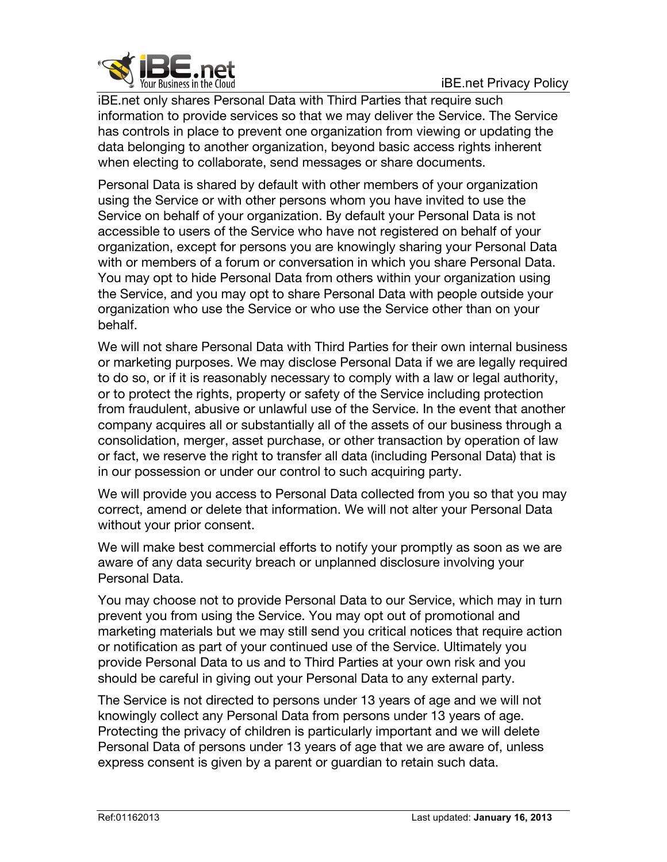

iBE.net only shares Personal Data with Third Parties that require such information to provide services so that we may deliver the Service. The Service has controls in place to prevent one organization from viewing or updating the data belonging to another organization, beyond basic access rights inherent when electing to collaborate, send messages or share documents.

Personal Data is shared by default with other members of your organization using the Service or with other persons whom you have invited to use the Service on behalf of your organization. By default your Personal Data is not accessible to users of the Service who have not registered on behalf of your organization, except for persons you are knowingly sharing your Personal Data with or members of a forum or conversation in which you share Personal Data. You may opt to hide Personal Data from others within your organization using the Service, and you may opt to share Personal Data with people outside your organization who use the Service or who use the Service other than on your behalf.

We will not share Personal Data with Third Parties for their own internal business or marketing purposes. We may disclose Personal Data if we are legally required to do so, or if it is reasonably necessary to comply with a law or legal authority, or to protect the rights, property or safety of the Service including protection from fraudulent, abusive or unlawful use of the Service. In the event that another company acquires all or substantially all of the assets of our business through a consolidation, merger, asset purchase, or other transaction by operation of law or fact, we reserve the right to transfer all data (including Personal Data) that is in our possession or under our control to such acquiring party.

We will provide you access to Personal Data collected from you so that you may correct, amend or delete that information. We will not alter your Personal Data without your prior consent.

We will make best commercial efforts to notify your promptly as soon as we are aware of any data security breach or unplanned disclosure involving your Personal Data.

You may choose not to provide Personal Data to our Service, which may in turn prevent you from using the Service. You may opt out of promotional and marketing materials but we may still send you critical notices that require action or notification as part of your continued use of the Service. Ultimately you provide Personal Data to us and to Third Parties at your own risk and you should be careful in giving out your Personal Data to any external party.

The Service is not directed to persons under 13 years of age and we will not knowingly collect any Personal Data from persons under 13 years of age. Protecting the privacy of children is particularly important and we will delete Personal Data of persons under 13 years of age that we are aware of, unless express consent is given by a parent or guardian to retain such data.